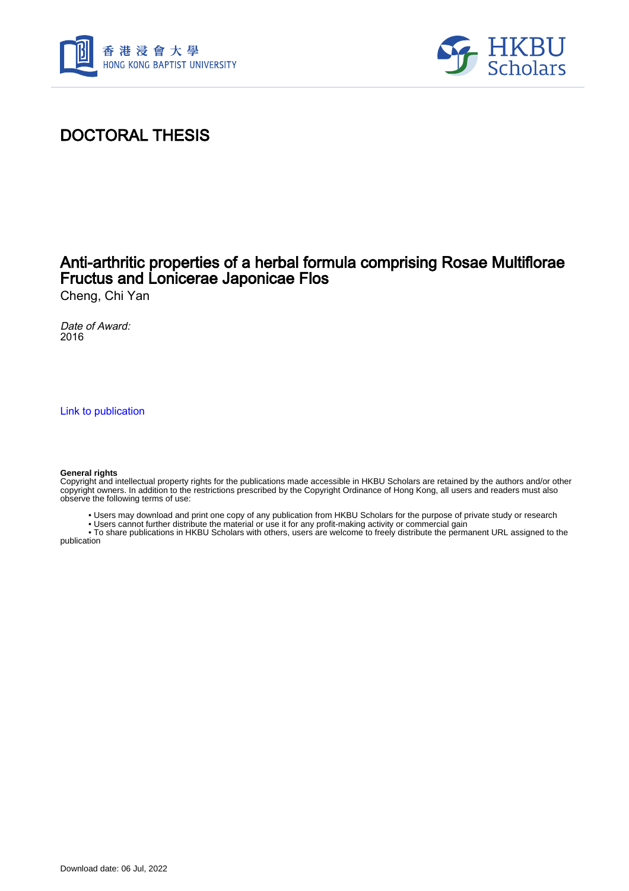



# DOCTORAL THESIS

## Anti-arthritic properties of a herbal formula comprising Rosae Multiflorae Fructus and Lonicerae Japonicae Flos

Cheng, Chi Yan

Date of Award: 2016

[Link to publication](https://scholars.hkbu.edu.hk/en/studentTheses/29598cc9-e2f2-47b5-ac45-471600cf61e9)

#### **General rights**

Copyright and intellectual property rights for the publications made accessible in HKBU Scholars are retained by the authors and/or other copyright owners. In addition to the restrictions prescribed by the Copyright Ordinance of Hong Kong, all users and readers must also observe the following terms of use:

- Users may download and print one copy of any publication from HKBU Scholars for the purpose of private study or research
- Users cannot further distribute the material or use it for any profit-making activity or commercial gain

 • To share publications in HKBU Scholars with others, users are welcome to freely distribute the permanent URL assigned to the publication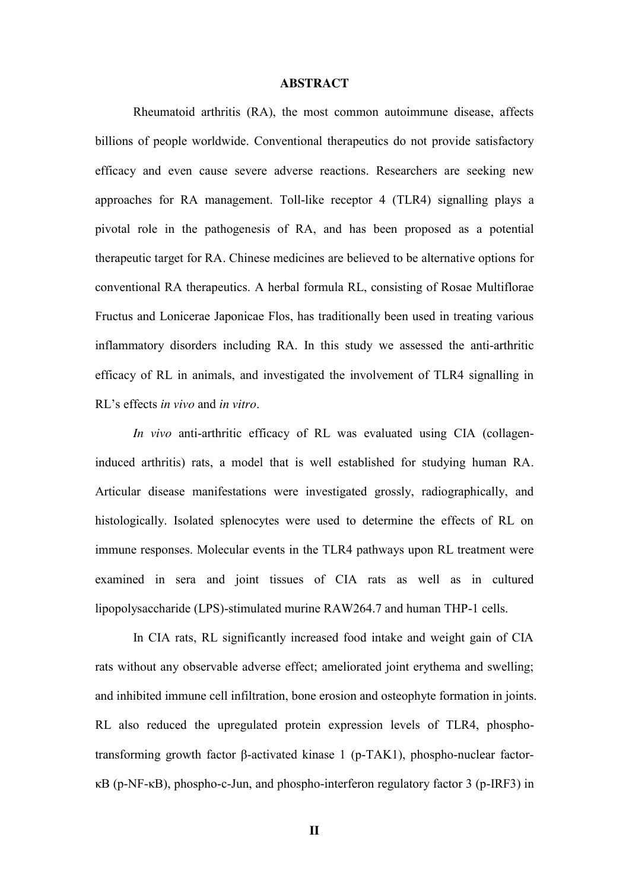### **ABSTRACT**

Rheumatoid arthritis (RA), the most common autoimmune disease, affects billions of people worldwide. Conventional therapeutics do not provide satisfactory efficacy and even cause severe adverse reactions. Researchers are seeking new approaches for RA management. Toll-like receptor 4 (TLR4) signalling plays a pivotal role in the pathogenesis of RA, and has been proposed as a potential therapeutic target for RA. Chinese medicines are believed to be alternative options for conventional RA therapeutics. A herbal formula RL, consisting of Rosae Multiflorae Fructus and Lonicerae Japonicae Flos, has traditionally been used in treating various inflammatory disorders including RA. In this study we assessed the anti-arthritic efficacy of RL in animals, and investigated the involvement of TLR4 signalling in RL's effects *in vivo* and *in vitro*.

*In vivo* anti-arthritic efficacy of RL was evaluated using CIA (collageninduced arthritis) rats, a model that is well established for studying human RA. Articular disease manifestations were investigated grossly, radiographically, and histologically. Isolated splenocytes were used to determine the effects of RL on immune responses. Molecular events in the TLR4 pathways upon RL treatment were examined in sera and joint tissues of CIA rats as well as in cultured lipopolysaccharide (LPS)-stimulated murine RAW264.7 and human THP-1 cells.

In CIA rats, RL significantly increased food intake and weight gain of CIA rats without any observable adverse effect; ameliorated joint erythema and swelling; and inhibited immune cell infiltration, bone erosion and osteophyte formation in joints. RL also reduced the upregulated protein expression levels of TLR4, phosphotransforming growth factor β-activated kinase 1 (p-TAK1), phospho-nuclear factorκB (p-NF-κB), phospho-c-Jun, and phospho-interferon regulatory factor 3 (p-IRF3) in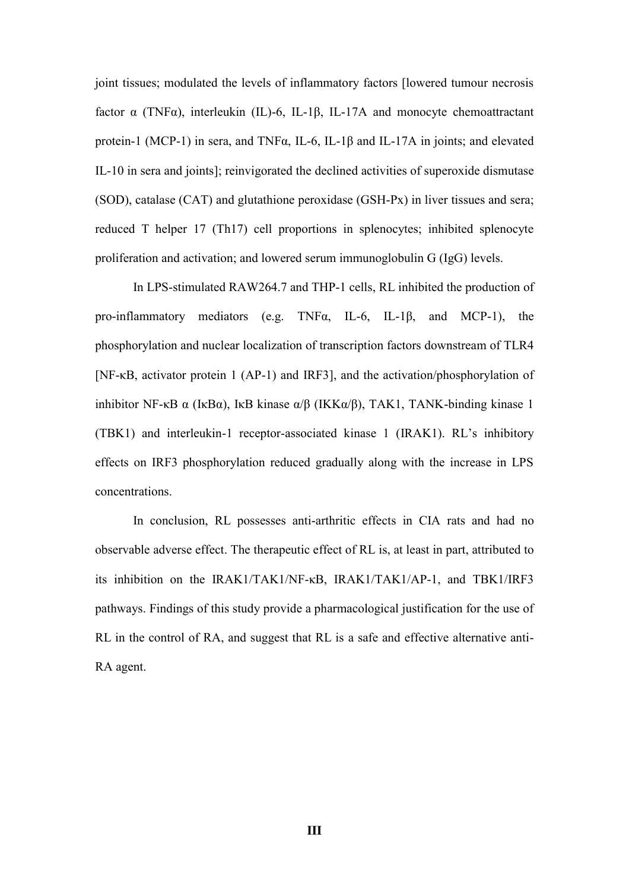joint tissues; modulated the levels of inflammatory factors [lowered tumour necrosis factor  $\alpha$  (TNF $\alpha$ ), interleukin (IL)-6, IL-1 $\beta$ , IL-17A and monocyte chemoattractant protein-1 (MCP-1) in sera, and TNFα, IL-6, IL-1β and IL-17A in joints; and elevated IL-10 in sera and joints]; reinvigorated the declined activities of superoxide dismutase (SOD), catalase (CAT) and glutathione peroxidase (GSH-Px) in liver tissues and sera; reduced T helper 17 (Th17) cell proportions in splenocytes; inhibited splenocyte proliferation and activation; and lowered serum immunoglobulin G (IgG) levels.

In LPS-stimulated RAW264.7 and THP-1 cells, RL inhibited the production of pro-inflammatory mediators (e.g. TNFα, IL-6, IL-1β, and MCP-1), the phosphorylation and nuclear localization of transcription factors downstream of TLR4 [NF-κB, activator protein 1 (AP-1) and IRF3], and the activation/phosphorylation of inhibitor NF-κB α (IκBα), IκB kinase  $\alpha/\beta$  (IKK $\alpha/\beta$ ), TAK1, TANK-binding kinase 1 (TBK1) and interleukin-1 receptor-associated kinase 1 (IRAK1). RL's inhibitory effects on IRF3 phosphorylation reduced gradually along with the increase in LPS concentrations.

In conclusion, RL possesses anti-arthritic effects in CIA rats and had no observable adverse effect. The therapeutic effect of RL is, at least in part, attributed to its inhibition on the IRAK1/TAK1/NF-κB, IRAK1/TAK1/AP-1, and TBK1/IRF3 pathways. Findings of this study provide a pharmacological justification for the use of RL in the control of RA, and suggest that RL is a safe and effective alternative anti-RA agent.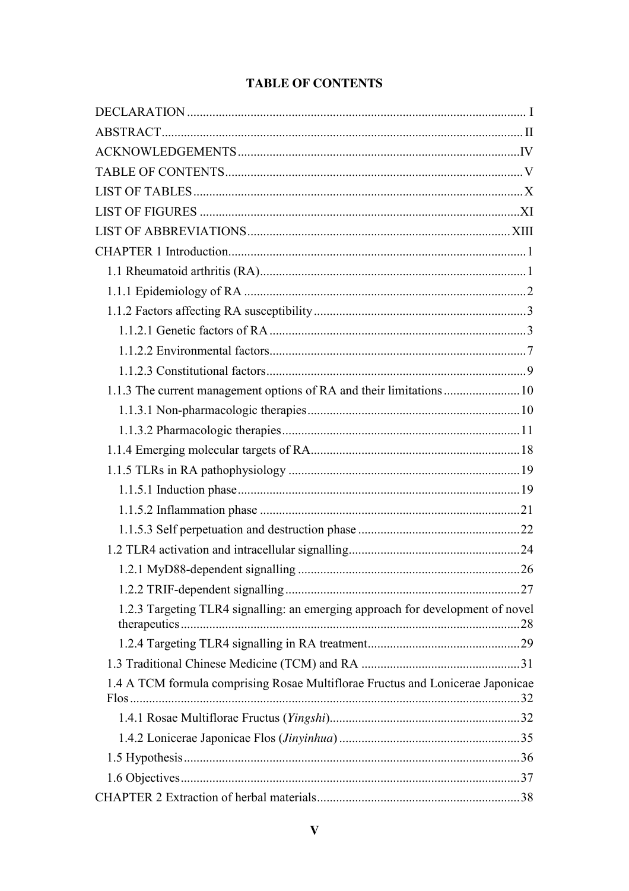### **TABLE OF CONTENTS**

| 1.2.3 Targeting TLR4 signalling: an emerging approach for development of novel |  |
|--------------------------------------------------------------------------------|--|
|                                                                                |  |
|                                                                                |  |
| 1.4 A TCM formula comprising Rosae Multiflorae Fructus and Lonicerae Japonicae |  |
|                                                                                |  |
|                                                                                |  |
|                                                                                |  |
|                                                                                |  |
|                                                                                |  |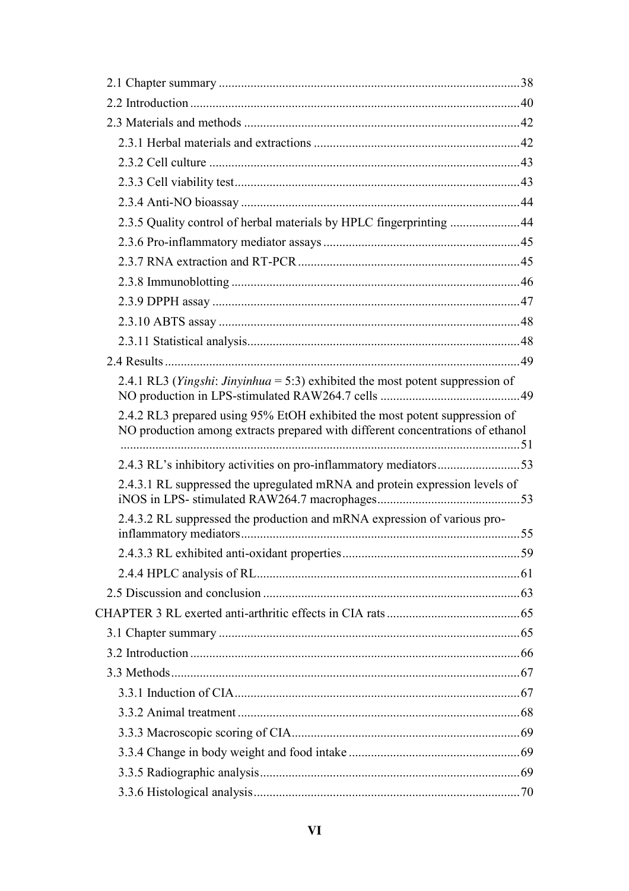| 2.3.5 Quality control of herbal materials by HPLC fingerprinting 44                                                                                          |  |
|--------------------------------------------------------------------------------------------------------------------------------------------------------------|--|
|                                                                                                                                                              |  |
|                                                                                                                                                              |  |
|                                                                                                                                                              |  |
|                                                                                                                                                              |  |
|                                                                                                                                                              |  |
|                                                                                                                                                              |  |
|                                                                                                                                                              |  |
| 2.4.1 RL3 ( <i>Yingshi: Jinyinhua</i> = 5:3) exhibited the most potent suppression of                                                                        |  |
| 2.4.2 RL3 prepared using 95% EtOH exhibited the most potent suppression of<br>NO production among extracts prepared with different concentrations of ethanol |  |
| 2.4.3 RL's inhibitory activities on pro-inflammatory mediators53                                                                                             |  |
| 2.4.3.1 RL suppressed the upregulated mRNA and protein expression levels of                                                                                  |  |
| 2.4.3.2 RL suppressed the production and mRNA expression of various pro-                                                                                     |  |
|                                                                                                                                                              |  |
|                                                                                                                                                              |  |
|                                                                                                                                                              |  |
|                                                                                                                                                              |  |
|                                                                                                                                                              |  |
|                                                                                                                                                              |  |
|                                                                                                                                                              |  |
|                                                                                                                                                              |  |
|                                                                                                                                                              |  |
|                                                                                                                                                              |  |
|                                                                                                                                                              |  |
|                                                                                                                                                              |  |
|                                                                                                                                                              |  |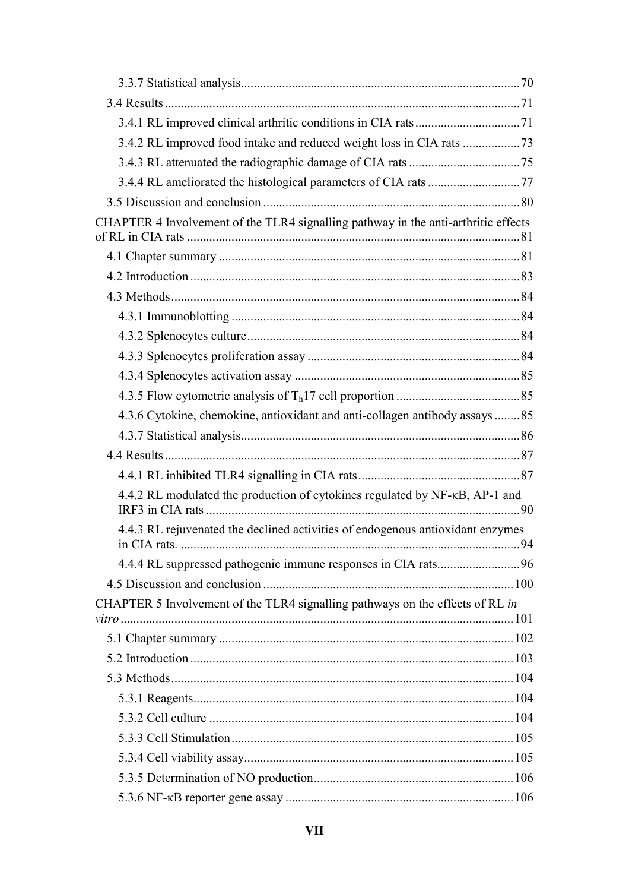| CHAPTER 4 Involvement of the TLR4 signalling pathway in the anti-arthritic effects |  |
|------------------------------------------------------------------------------------|--|
|                                                                                    |  |
|                                                                                    |  |
|                                                                                    |  |
|                                                                                    |  |
|                                                                                    |  |
|                                                                                    |  |
|                                                                                    |  |
|                                                                                    |  |
| 4.3.6 Cytokine, chemokine, antioxidant and anti-collagen antibody assays 85        |  |
|                                                                                    |  |
|                                                                                    |  |
|                                                                                    |  |
| 4.4.2 RL modulated the production of cytokines regulated by NF-KB, AP-1 and        |  |
| 4.4.3 RL rejuvenated the declined activities of endogenous antioxidant enzymes     |  |
|                                                                                    |  |
|                                                                                    |  |
| CHAPTER 5 Involvement of the TLR4 signalling pathways on the effects of RL in      |  |
|                                                                                    |  |
|                                                                                    |  |
|                                                                                    |  |
|                                                                                    |  |
|                                                                                    |  |
|                                                                                    |  |
|                                                                                    |  |
|                                                                                    |  |
|                                                                                    |  |
|                                                                                    |  |